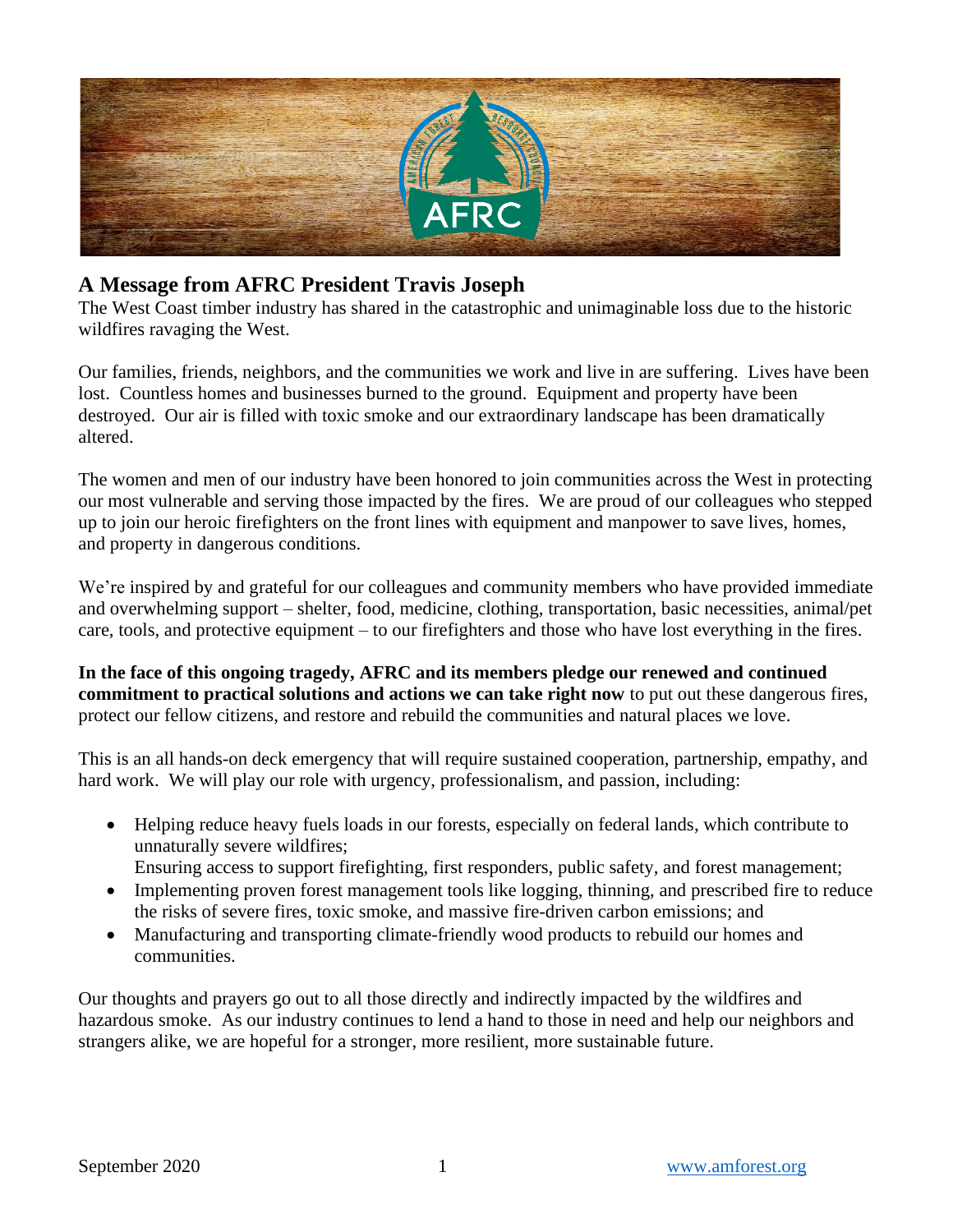

### **A Message from AFRC President Travis Joseph**

The West Coast timber industry has shared in the catastrophic and unimaginable loss due to the historic wildfires ravaging the West.

Our families, friends, neighbors, and the communities we work and live in are suffering. Lives have been lost. Countless homes and businesses burned to the ground. Equipment and property have been destroyed. Our air is filled with toxic smoke and our extraordinary landscape has been dramatically altered.

The women and men of our industry have been honored to join communities across the West in protecting our most vulnerable and serving those impacted by the fires. We are proud of our colleagues who stepped up to join our heroic firefighters on the front lines with equipment and manpower to save lives, homes, and property in dangerous conditions.

We're inspired by and grateful for our colleagues and community members who have provided immediate and overwhelming support – shelter, food, medicine, clothing, transportation, basic necessities, animal/pet care, tools, and protective equipment – to our firefighters and those who have lost everything in the fires.

**In the face of this ongoing tragedy, AFRC and its members pledge our renewed and continued commitment to practical solutions and actions we can take right now** to put out these dangerous fires, protect our fellow citizens, and restore and rebuild the communities and natural places we love.

This is an all hands-on deck emergency that will require sustained cooperation, partnership, empathy, and hard work. We will play our role with urgency, professionalism, and passion, including:

- Helping reduce heavy fuels loads in our forests, especially on federal lands, which contribute to unnaturally severe wildfires;
	- Ensuring access to support firefighting, first responders, public safety, and forest management;
- Implementing proven forest management tools like logging, thinning, and prescribed fire to reduce the risks of severe fires, toxic smoke, and massive fire-driven carbon emissions; and
- Manufacturing and transporting climate-friendly wood products to rebuild our homes and communities.

Our thoughts and prayers go out to all those directly and indirectly impacted by the wildfires and hazardous smoke. As our industry continues to lend a hand to those in need and help our neighbors and strangers alike, we are hopeful for a stronger, more resilient, more sustainable future.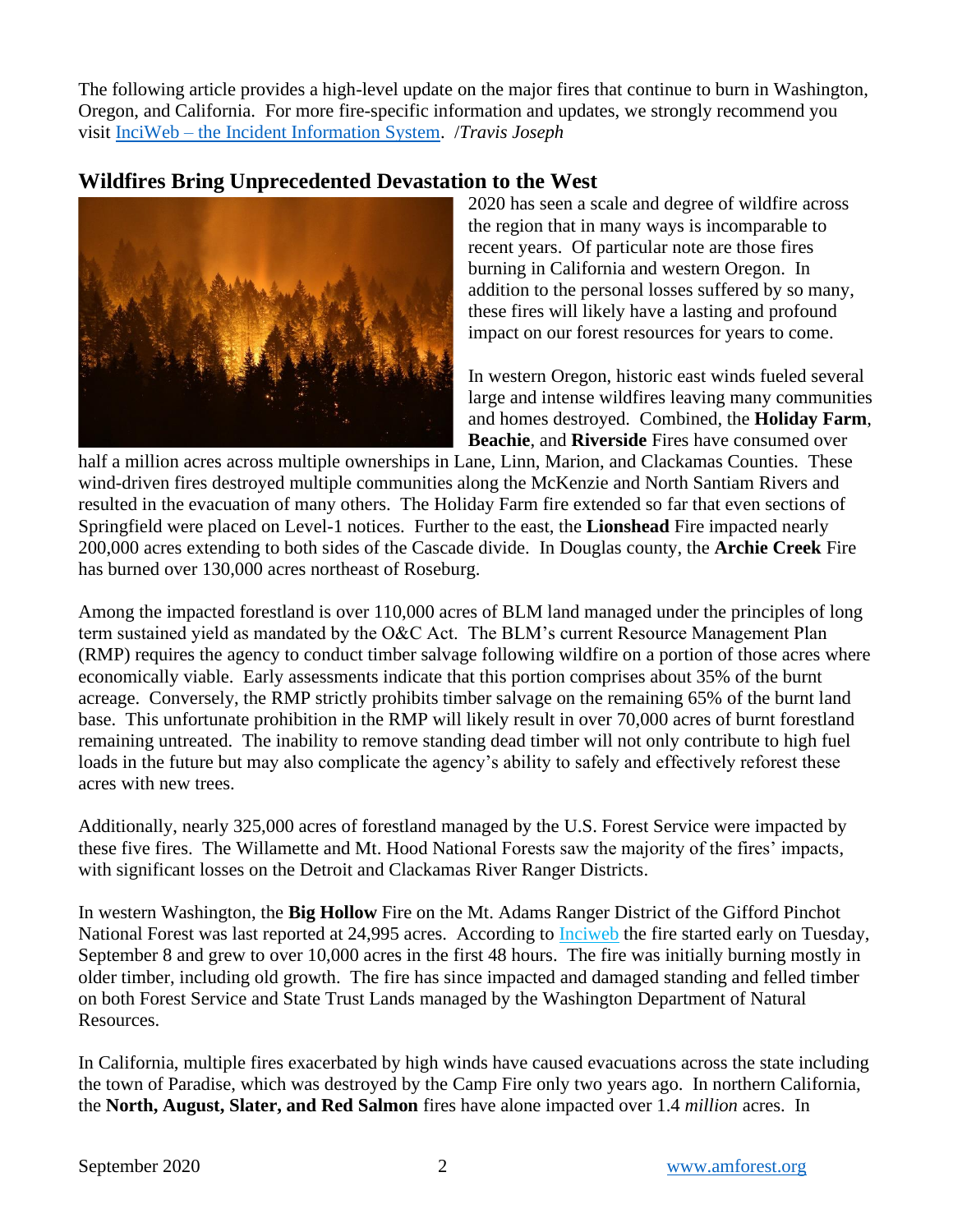The following article provides a high-level update on the major fires that continue to burn in Washington, Oregon, and California. For more fire-specific information and updates, we strongly recommend you visit InciWeb – [the Incident Information System.](https://inciweb.nwcg.gov/) /*Travis Joseph*

#### **Wildfires Bring Unprecedented Devastation to the West**



2020 has seen a scale and degree of wildfire across the region that in many ways is incomparable to recent years. Of particular note are those fires burning in California and western Oregon. In addition to the personal losses suffered by so many, these fires will likely have a lasting and profound impact on our forest resources for years to come.

In western Oregon, historic east winds fueled several large and intense wildfires leaving many communities and homes destroyed. Combined, the **Holiday Farm**, **Beachie**, and **Riverside** Fires have consumed over

half a million acres across multiple ownerships in Lane, Linn, Marion, and Clackamas Counties. These wind-driven fires destroyed multiple communities along the McKenzie and North Santiam Rivers and resulted in the evacuation of many others. The Holiday Farm fire extended so far that even sections of Springfield were placed on Level-1 notices. Further to the east, the **Lionshead** Fire impacted nearly 200,000 acres extending to both sides of the Cascade divide. In Douglas county, the **Archie Creek** Fire has burned over 130,000 acres northeast of Roseburg.

Among the impacted forestland is over 110,000 acres of BLM land managed under the principles of long term sustained yield as mandated by the O&C Act. The BLM's current Resource Management Plan (RMP) requires the agency to conduct timber salvage following wildfire on a portion of those acres where economically viable. Early assessments indicate that this portion comprises about 35% of the burnt acreage. Conversely, the RMP strictly prohibits timber salvage on the remaining 65% of the burnt land base. This unfortunate prohibition in the RMP will likely result in over 70,000 acres of burnt forestland remaining untreated. The inability to remove standing dead timber will not only contribute to high fuel loads in the future but may also complicate the agency's ability to safely and effectively reforest these acres with new trees.

Additionally, nearly 325,000 acres of forestland managed by the U.S. Forest Service were impacted by these five fires. The Willamette and Mt. Hood National Forests saw the majority of the fires' impacts, with significant losses on the Detroit and Clackamas River Ranger Districts.

In western Washington, the **Big Hollow** Fire on the Mt. Adams Ranger District of the Gifford Pinchot National Forest was last reported at 24,995 acres. According to [Inciweb](https://inciweb.nwcg.gov/incident/7171/) the fire started early on Tuesday, September 8 and grew to over 10,000 acres in the first 48 hours. The fire was initially burning mostly in older timber, including old growth. The fire has since impacted and damaged standing and felled timber on both Forest Service and State Trust Lands managed by the Washington Department of Natural Resources.

In California, multiple fires exacerbated by high winds have caused evacuations across the state including the town of Paradise, which was destroyed by the Camp Fire only two years ago. In northern California, the **North, August, Slater, and Red Salmon** fires have alone impacted over 1.4 *million* acres. In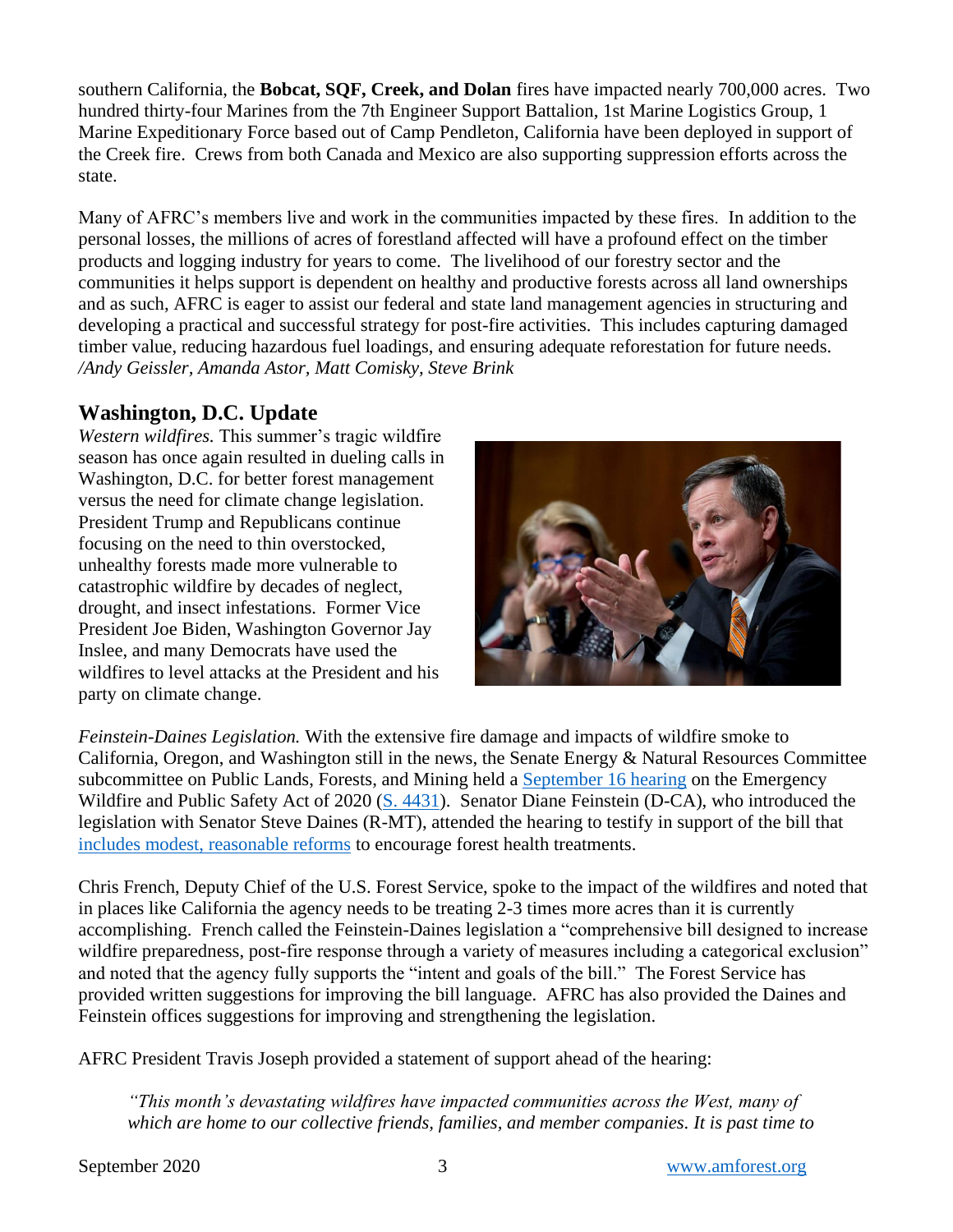southern California, the **Bobcat, SQF, Creek, and Dolan** fires have impacted nearly 700,000 acres. Two hundred thirty-four Marines from the 7th Engineer Support Battalion, 1st Marine Logistics Group, 1 Marine Expeditionary Force based out of Camp Pendleton, California have been deployed in support of the Creek fire. Crews from both Canada and Mexico are also supporting suppression efforts across the state.

Many of AFRC's members live and work in the communities impacted by these fires. In addition to the personal losses, the millions of acres of forestland affected will have a profound effect on the timber products and logging industry for years to come. The livelihood of our forestry sector and the communities it helps support is dependent on healthy and productive forests across all land ownerships and as such, AFRC is eager to assist our federal and state land management agencies in structuring and developing a practical and successful strategy for post-fire activities. This includes capturing damaged timber value, reducing hazardous fuel loadings, and ensuring adequate reforestation for future needs. */Andy Geissler, Amanda Astor, Matt Comisky, Steve Brink*

#### **Washington, D.C. Update**

*Western wildfires.* This summer's tragic wildfire season has once again resulted in dueling calls in Washington, D.C. for better forest management versus the need for climate change legislation. President Trump and Republicans continue focusing on the need to thin overstocked, unhealthy forests made more vulnerable to catastrophic wildfire by decades of neglect, drought, and insect infestations. Former Vice President Joe Biden, Washington Governor Jay Inslee, and many Democrats have used the wildfires to level attacks at the President and his party on climate change.



*Feinstein-Daines Legislation.* With the extensive fire damage and impacts of wildfire smoke to California, Oregon, and Washington still in the news, the Senate Energy & Natural Resources Committee subcommittee on Public Lands, Forests, and Mining held a [September 16 hearing](https://www.energy.senate.gov/hearings/2020/9/subcommittee-on-public-lands-forests-and-mining-legislative-hearing) on the Emergency Wildfire and Public Safety Act of 2020 (S. [4431\)](https://www.congress.gov/bill/116th-congress/senate-bill/4431). Senator Diane Feinstein (D-CA), who introduced the legislation with Senator Steve Daines (R-MT), attended the hearing to testify in support of the bill that [includes modest, reasonable reforms](https://www.daines.senate.gov/imo/media/doc/FINAL%20Section%20by%20Section%20the%20Emergency%20Wildfire%20and%20Public%20Safety%20Act%20of%202020%20(002).pdf) to encourage forest health treatments.

Chris French, Deputy Chief of the U.S. Forest Service, spoke to the impact of the wildfires and noted that in places like California the agency needs to be treating 2-3 times more acres than it is currently accomplishing. French called the Feinstein-Daines legislation a "comprehensive bill designed to increase wildfire preparedness, post-fire response through a variety of measures including a categorical exclusion" and noted that the agency fully supports the "intent and goals of the bill." The Forest Service has provided written suggestions for improving the bill language. AFRC has also provided the Daines and Feinstein offices suggestions for improving and strengthening the legislation.

AFRC President Travis Joseph provided a statement of support ahead of the hearing:

*"This month's devastating wildfires have impacted communities across the West, many of which are home to our collective friends, families, and member companies. It is past time to*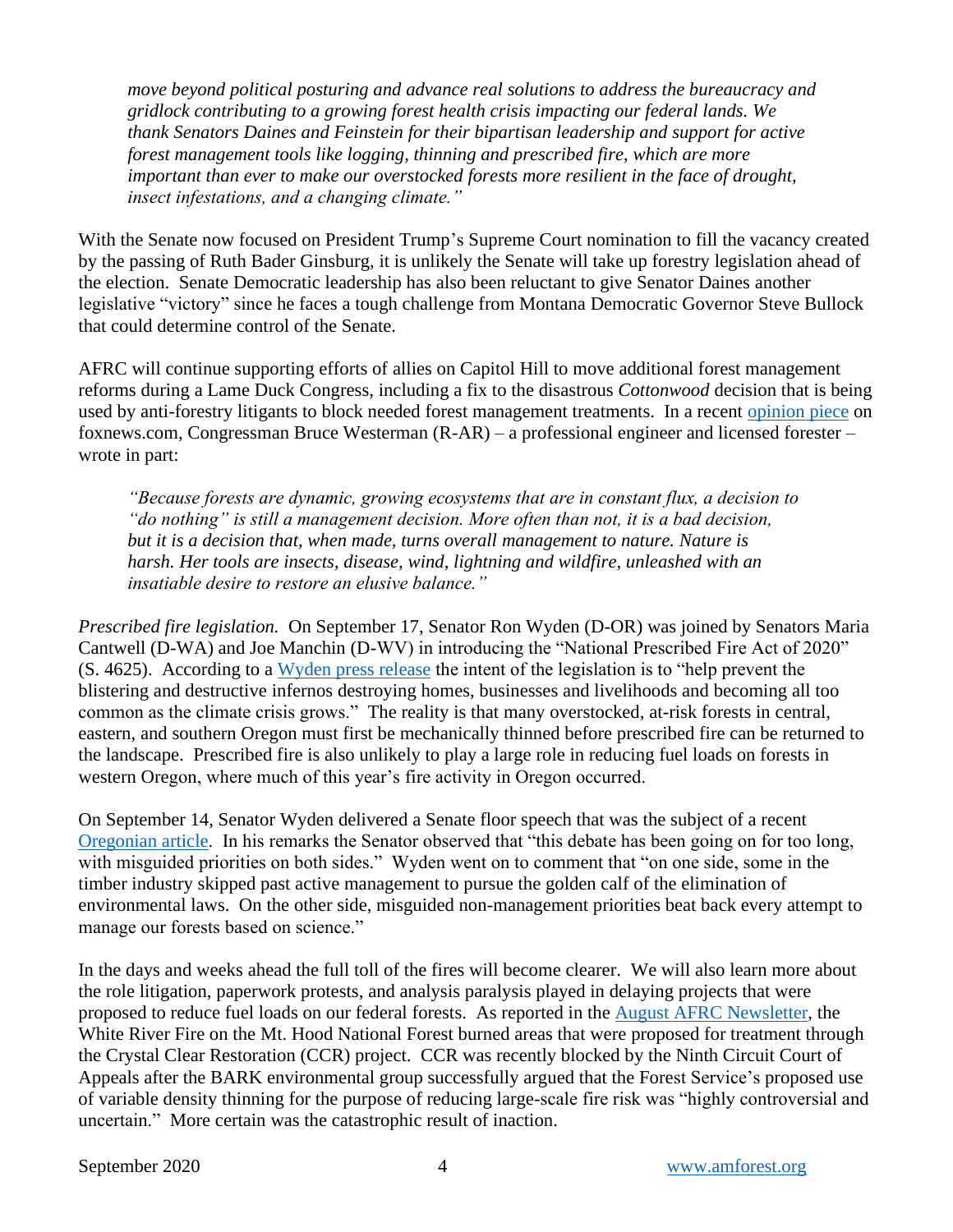*move beyond political posturing and advance real solutions to address the bureaucracy and gridlock contributing to a growing forest health crisis impacting our federal lands. We thank Senators Daines and Feinstein for their bipartisan leadership and support for active forest management tools like logging, thinning and prescribed fire, which are more important than ever to make our overstocked forests more resilient in the face of drought, insect infestations, and a changing climate."*

With the Senate now focused on President Trump's Supreme Court nomination to fill the vacancy created by the passing of Ruth Bader Ginsburg, it is unlikely the Senate will take up forestry legislation ahead of the election. Senate Democratic leadership has also been reluctant to give Senator Daines another legislative "victory" since he faces a tough challenge from Montana Democratic Governor Steve Bullock that could determine control of the Senate.

AFRC will continue supporting efforts of allies on Capitol Hill to move additional forest management reforms during a Lame Duck Congress, including a fix to the disastrous *Cottonwood* decision that is being used by anti-forestry litigants to block needed forest management treatments. In a recent [opinion piece](https://westerman.house.gov/media-center/in-the-news/wildfires-ravage-us-every-year-they-don-t-have) on foxnews.com, Congressman Bruce Westerman (R-AR) – a professional engineer and licensed forester – wrote in part:

*"Because forests are dynamic, growing ecosystems that are in constant flux, a decision to "do nothing" is still a management decision. More often than not, it is a bad decision, but it is a decision that, when made, turns overall management to nature. Nature is harsh. Her tools are insects, disease, wind, lightning and wildfire, unleashed with an insatiable desire to restore an elusive balance."* 

*Prescribed fire legislation.* On September 17, Senator Ron Wyden (D-OR) was joined by Senators Maria Cantwell (D-WA) and Joe Manchin (D-WV) in introducing the "National Prescribed Fire Act of 2020" (S. 4625). According to a [Wyden press release](https://www.wyden.senate.gov/news/press-releases/wyden-manchin-cantwell-introduce-legislation-to-help-prevent-catastrophic-wildfires) the intent of the legislation is to "help prevent the blistering and destructive infernos destroying homes, businesses and livelihoods and becoming all too common as the climate crisis grows." The reality is that many overstocked, at-risk forests in central, eastern, and southern Oregon must first be mechanically thinned before prescribed fire can be returned to the landscape. Prescribed fire is also unlikely to play a large role in reducing fuel loads on forests in western Oregon, where much of this year's fire activity in Oregon occurred.

On September 14, Senator Wyden delivered a Senate floor speech that was the subject of a recent [Oregonian article.](https://www.oregonlive.com/politics/2020/09/wyden-smoke-suffocating-the-west-coast-is-debt-coming-due-on-lousy-forest-management.html) In his remarks the Senator observed that "this debate has been going on for too long, with misguided priorities on both sides." Wyden went on to comment that "on one side, some in the timber industry skipped past active management to pursue the golden calf of the elimination of environmental laws. On the other side, misguided non-management priorities beat back every attempt to manage our forests based on science."

In the days and weeks ahead the full toll of the fires will become clearer. We will also learn more about the role litigation, paperwork protests, and analysis paralysis played in delaying projects that were proposed to reduce fuel loads on our federal forests. As reported in the [August AFRC Newsl](http://amforest.org/wp-content/uploads/2020/09/August-2020-Newsletter.pdf)etter, the White River Fire on the Mt. Hood National Forest burned areas that were proposed for treatment through the Crystal Clear Restoration (CCR) project. CCR was recently blocked by the Ninth Circuit Court of Appeals after the BARK environmental group successfully argued that the Forest Service's proposed use of variable density thinning for the purpose of reducing large-scale fire risk was "highly controversial and uncertain." More certain was the catastrophic result of inaction.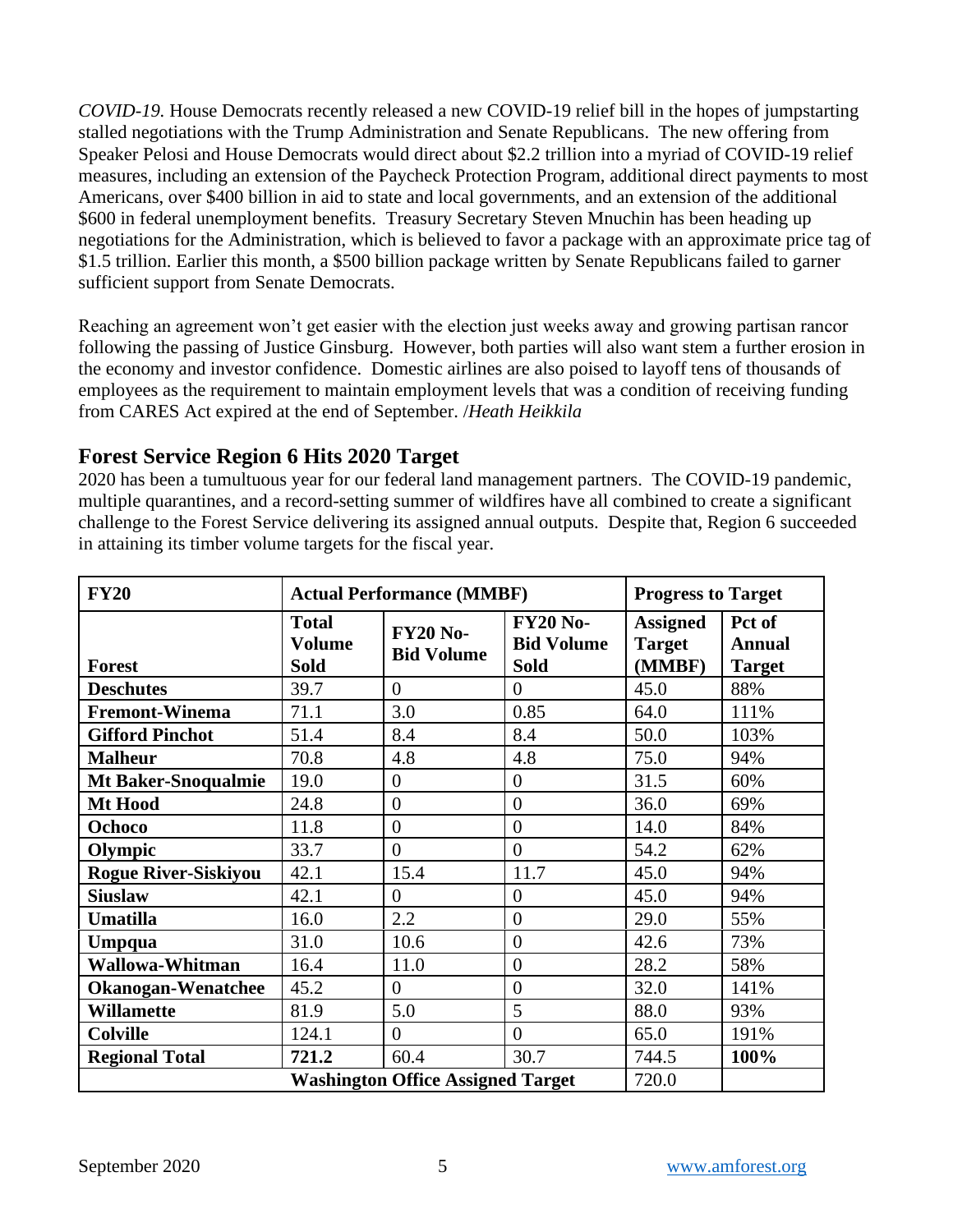*COVID-19.* House Democrats recently released a new COVID-19 relief bill in the hopes of jumpstarting stalled negotiations with the Trump Administration and Senate Republicans. The new offering from Speaker Pelosi and House Democrats would direct about \$2.2 trillion into a myriad of COVID-19 relief measures, including an extension of the Paycheck Protection Program, additional direct payments to most Americans, over \$400 billion in aid to state and local governments, and an extension of the additional \$600 in federal unemployment benefits. Treasury Secretary Steven Mnuchin has been heading up negotiations for the Administration, which is believed to favor a package with an approximate price tag of \$1.5 trillion. Earlier this month, a \$500 billion package written by Senate Republicans failed to garner sufficient support from Senate Democrats.

Reaching an agreement won't get easier with the election just weeks away and growing partisan rancor following the passing of Justice Ginsburg. However, both parties will also want stem a further erosion in the economy and investor confidence. Domestic airlines are also poised to layoff tens of thousands of employees as the requirement to maintain employment levels that was a condition of receiving funding from CARES Act expired at the end of September. /*Heath Heikkila*

#### **Forest Service Region 6 Hits 2020 Target**

2020 has been a tumultuous year for our federal land management partners. The COVID-19 pandemic, multiple quarantines, and a record-setting summer of wildfires have all combined to create a significant challenge to the Forest Service delivering its assigned annual outputs. Despite that, Region 6 succeeded in attaining its timber volume targets for the fiscal year.

| <b>FY20</b>                              | <b>Actual Performance (MMBF)</b>             |                                      |                                                     | <b>Progress to Target</b>                  |                                          |
|------------------------------------------|----------------------------------------------|--------------------------------------|-----------------------------------------------------|--------------------------------------------|------------------------------------------|
| <b>Forest</b>                            | <b>Total</b><br><b>Volume</b><br><b>Sold</b> | <b>FY20 No-</b><br><b>Bid Volume</b> | <b>FY20 No-</b><br><b>Bid Volume</b><br><b>Sold</b> | <b>Assigned</b><br><b>Target</b><br>(MMBF) | Pct of<br><b>Annual</b><br><b>Target</b> |
| <b>Deschutes</b>                         | 39.7                                         | $\Omega$                             | $\overline{0}$                                      | 45.0                                       | 88%                                      |
| <b>Fremont-Winema</b>                    | 71.1                                         | 3.0                                  | 0.85                                                | 64.0                                       | 111%                                     |
| <b>Gifford Pinchot</b>                   | 51.4                                         | 8.4                                  | 8.4                                                 | 50.0                                       | 103%                                     |
| <b>Malheur</b>                           | 70.8                                         | 4.8                                  | 4.8                                                 | 75.0                                       | 94%                                      |
| <b>Mt Baker-Snoqualmie</b>               | 19.0                                         | $\overline{0}$                       | $\overline{0}$                                      | 31.5                                       | 60%                                      |
| Mt Hood                                  | 24.8                                         | $\overline{0}$                       | $\overline{0}$                                      | 36.0                                       | 69%                                      |
| Ochoco                                   | 11.8                                         | $\overline{0}$                       | $\overline{0}$                                      | 14.0                                       | 84%                                      |
| Olympic                                  | 33.7                                         | $\overline{0}$                       | $\overline{0}$                                      | 54.2                                       | 62%                                      |
| <b>Rogue River-Siskiyou</b>              | 42.1                                         | 15.4                                 | 11.7                                                | 45.0                                       | 94%                                      |
| <b>Siuslaw</b>                           | 42.1                                         | $\overline{0}$                       | $\overline{0}$                                      | 45.0                                       | 94%                                      |
| <b>Umatilla</b>                          | 16.0                                         | 2.2                                  | $\overline{0}$                                      | 29.0                                       | 55%                                      |
| Umpqua                                   | 31.0                                         | 10.6                                 | $\overline{0}$                                      | 42.6                                       | 73%                                      |
| <b>Wallowa-Whitman</b>                   | 16.4                                         | 11.0                                 | $\overline{0}$                                      | 28.2                                       | 58%                                      |
| <b>Okanogan-Wenatchee</b>                | 45.2                                         | $\Omega$                             | $\overline{0}$                                      | 32.0                                       | 141%                                     |
| <b>Willamette</b>                        | 81.9                                         | 5.0                                  | 5                                                   | 88.0                                       | 93%                                      |
| <b>Colville</b>                          | 124.1                                        | $\Omega$                             | $\overline{0}$                                      | 65.0                                       | 191%                                     |
| <b>Regional Total</b>                    | 721.2                                        | 60.4                                 | 30.7                                                | 744.5                                      | 100%                                     |
| <b>Washington Office Assigned Target</b> |                                              |                                      |                                                     | 720.0                                      |                                          |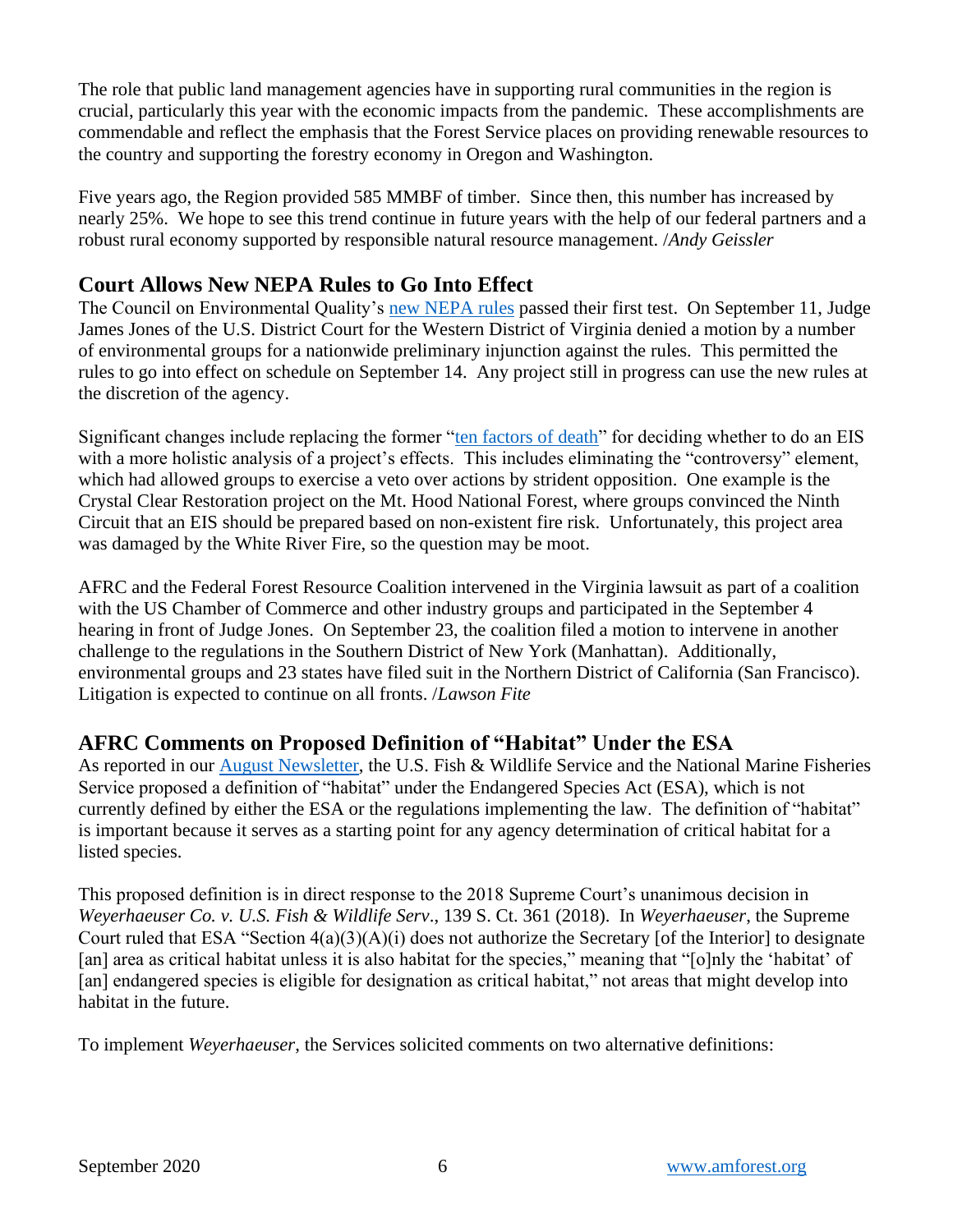The role that public land management agencies have in supporting rural communities in the region is crucial, particularly this year with the economic impacts from the pandemic. These accomplishments are commendable and reflect the emphasis that the Forest Service places on providing renewable resources to the country and supporting the forestry economy in Oregon and Washington.

Five years ago, the Region provided 585 MMBF of timber. Since then, this number has increased by nearly 25%. We hope to see this trend continue in future years with the help of our federal partners and a robust rural economy supported by responsible natural resource management. /*Andy Geissler*

### **Court Allows New NEPA Rules to Go Into Effect**

The Council on Environmental Quality's [new NEPA rules](https://www.federalregister.gov/documents/2020/07/16/2020-15179/update-to-the-regulations-implementing-the-procedural-provisions-of-the-national-environmental) passed their first test. On September 11, Judge James Jones of the U.S. District Court for the Western District of Virginia denied a motion by a number of environmental groups for a nationwide preliminary injunction against the rules. This permitted the rules to go into effect on schedule on September 14. Any project still in progress can use the new rules at the discretion of the agency.

Significant changes include replacing the former ["ten factors of death"](https://www.law.cornell.edu/cfr/text/40/1508.27) for deciding whether to do an EIS with a more holistic analysis of a project's effects. This includes eliminating the "controversy" element, which had allowed groups to exercise a veto over actions by strident opposition. One example is the Crystal Clear Restoration project on the Mt. Hood National Forest, where groups convinced the Ninth Circuit that an EIS should be prepared based on non-existent fire risk. Unfortunately, this project area was damaged by the White River Fire, so the question may be moot.

AFRC and the Federal Forest Resource Coalition intervened in the Virginia lawsuit as part of a coalition with the US Chamber of Commerce and other industry groups and participated in the September 4 hearing in front of Judge Jones. On September 23, the coalition filed a motion to intervene in another challenge to the regulations in the Southern District of New York (Manhattan). Additionally, environmental groups and 23 states have filed suit in the Northern District of California (San Francisco). Litigation is expected to continue on all fronts. /*Lawson Fite*

### **AFRC Comments on Proposed Definition of "Habitat" Under the ESA**

As reported in our [August Newsletter,](http://amforest.org/wp-content/uploads/2020/09/August-2020-Newsletter.pdf) the U.S. Fish & Wildlife Service and the National Marine Fisheries Service proposed a definition of "habitat" under the Endangered Species Act (ESA), which is not currently defined by either the ESA or the regulations implementing the law. The definition of "habitat" is important because it serves as a starting point for any agency determination of critical habitat for a listed species.

This proposed definition is in direct response to the 2018 Supreme Court's unanimous decision in *Weyerhaeuser Co. v. U.S. Fish & Wildlife Serv*., 139 S. Ct. 361 (2018). In *Weyerhaeuser*, the Supreme Court ruled that ESA "Section 4(a)(3)(A)(i) does not authorize the Secretary [of the Interior] to designate [an] area as critical habitat unless it is also habitat for the species," meaning that "[o]nly the 'habitat' of [an] endangered species is eligible for designation as critical habitat," not areas that might develop into habitat in the future.

To implement *Weyerhaeuser*, the Services solicited comments on two alternative definitions: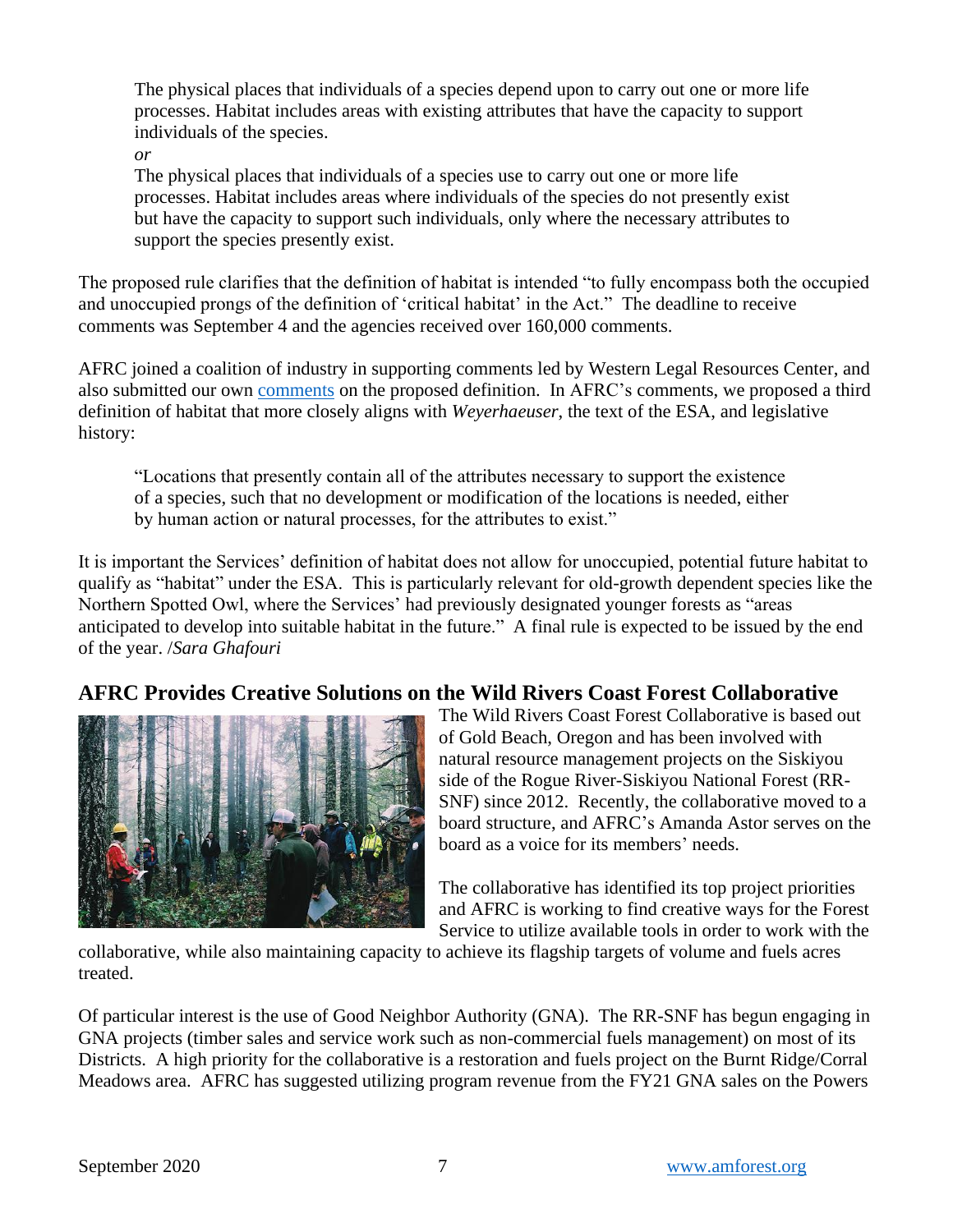The physical places that individuals of a species depend upon to carry out one or more life processes. Habitat includes areas with existing attributes that have the capacity to support individuals of the species.

*or* 

The physical places that individuals of a species use to carry out one or more life processes. Habitat includes areas where individuals of the species do not presently exist but have the capacity to support such individuals, only where the necessary attributes to support the species presently exist.

The proposed rule clarifies that the definition of habitat is intended "to fully encompass both the occupied and unoccupied prongs of the definition of 'critical habitat' in the Act." The deadline to receive comments was September 4 and the agencies received over 160,000 comments.

AFRC joined a coalition of industry in supporting comments led by Western Legal Resources Center, and also submitted our own [comments](http://amforest.org/wp-content/uploads/2020/09/AFRC-Comments-re-Habitat-Definition-9-4-2020.pdf) on the proposed definition. In AFRC's comments, we proposed a third definition of habitat that more closely aligns with *Weyerhaeuser*, the text of the ESA, and legislative history:

"Locations that presently contain all of the attributes necessary to support the existence of a species, such that no development or modification of the locations is needed, either by human action or natural processes, for the attributes to exist."

It is important the Services' definition of habitat does not allow for unoccupied, potential future habitat to qualify as "habitat" under the ESA. This is particularly relevant for old-growth dependent species like the Northern Spotted Owl, where the Services' had previously designated younger forests as "areas anticipated to develop into suitable habitat in the future." A final rule is expected to be issued by the end of the year. /*Sara Ghafouri*

#### **AFRC Provides Creative Solutions on the Wild Rivers Coast Forest Collaborative**



The Wild Rivers Coast Forest Collaborative is based out of Gold Beach, Oregon and has been involved with natural resource management projects on the Siskiyou side of the Rogue River-Siskiyou National Forest (RR-SNF) since 2012. Recently, the collaborative moved to a board structure, and AFRC's Amanda Astor serves on the board as a voice for its members' needs.

The collaborative has identified its top project priorities and AFRC is working to find creative ways for the Forest Service to utilize available tools in order to work with the

collaborative, while also maintaining capacity to achieve its flagship targets of volume and fuels acres treated.

Of particular interest is the use of Good Neighbor Authority (GNA). The RR-SNF has begun engaging in GNA projects (timber sales and service work such as non-commercial fuels management) on most of its Districts. A high priority for the collaborative is a restoration and fuels project on the Burnt Ridge/Corral Meadows area. AFRC has suggested utilizing program revenue from the FY21 GNA sales on the Powers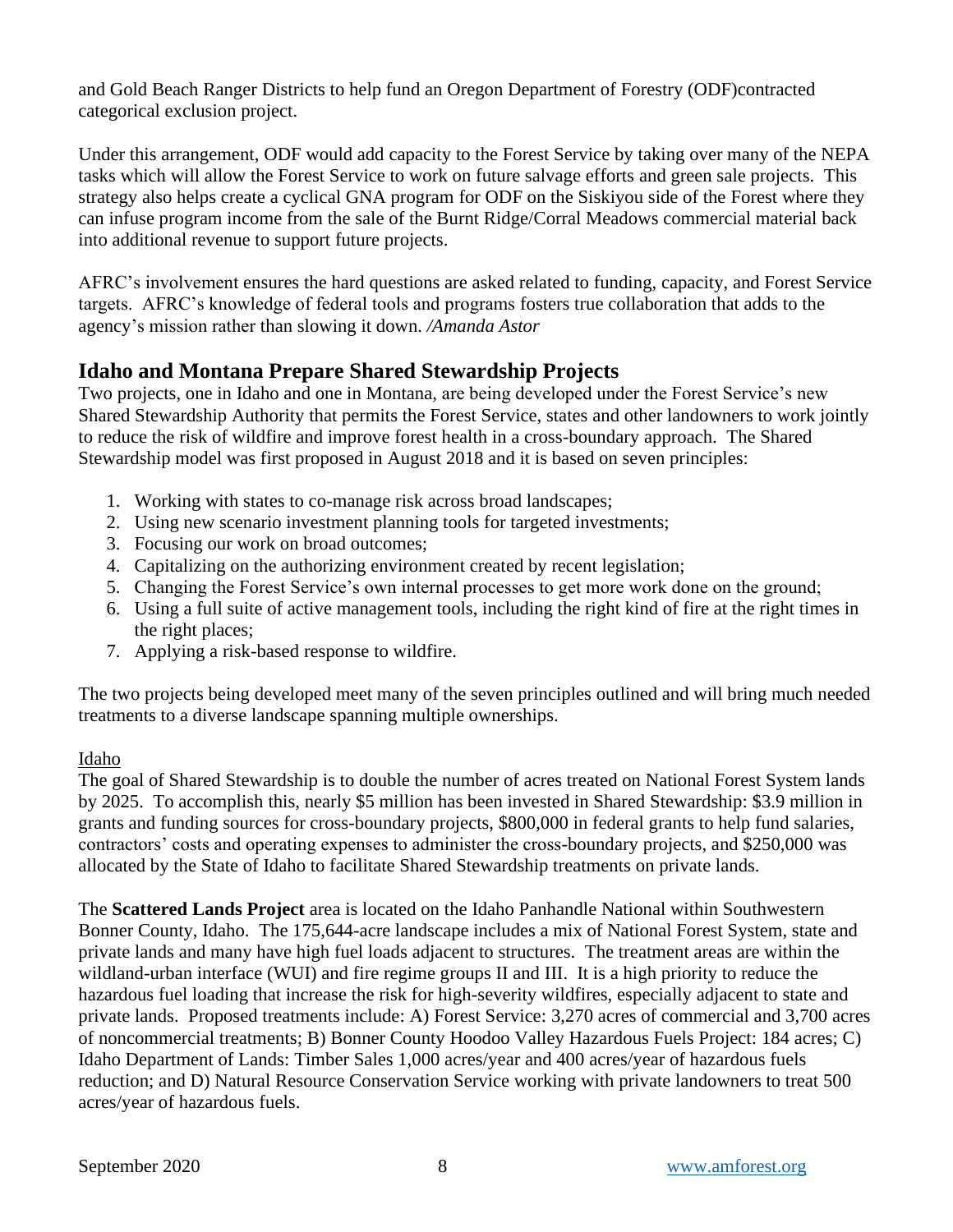and Gold Beach Ranger Districts to help fund an Oregon Department of Forestry (ODF)contracted categorical exclusion project.

Under this arrangement, ODF would add capacity to the Forest Service by taking over many of the NEPA tasks which will allow the Forest Service to work on future salvage efforts and green sale projects. This strategy also helps create a cyclical GNA program for ODF on the Siskiyou side of the Forest where they can infuse program income from the sale of the Burnt Ridge/Corral Meadows commercial material back into additional revenue to support future projects.

AFRC's involvement ensures the hard questions are asked related to funding, capacity, and Forest Service targets. AFRC's knowledge of federal tools and programs fosters true collaboration that adds to the agency's mission rather than slowing it down. */Amanda Astor*

## **Idaho and Montana Prepare Shared Stewardship Projects**

Two projects, one in Idaho and one in Montana, are being developed under the Forest Service's new Shared Stewardship Authority that permits the Forest Service, states and other landowners to work jointly to reduce the risk of wildfire and improve forest health in a cross-boundary approach. The Shared Stewardship model was first proposed in August 2018 and it is based on seven principles:

- 1. Working with states to co-manage risk across broad landscapes;
- 2. Using new scenario investment planning tools for targeted investments;
- 3. Focusing our work on broad outcomes;
- 4. Capitalizing on the authorizing environment created by recent legislation;
- 5. Changing the Forest Service's own internal processes to get more work done on the ground;
- 6. Using a full suite of active management tools, including the right kind of fire at the right times in the right places;
- 7. Applying a risk-based response to wildfire.

The two projects being developed meet many of the seven principles outlined and will bring much needed treatments to a diverse landscape spanning multiple ownerships.

#### Idaho

The goal of Shared Stewardship is to double the number of acres treated on National Forest System lands by 2025. To accomplish this, nearly \$5 million has been invested in Shared Stewardship: \$3.9 million in grants and funding sources for cross-boundary projects, \$800,000 in federal grants to help fund salaries, contractors' costs and operating expenses to administer the cross-boundary projects, and \$250,000 was allocated by the State of Idaho to facilitate Shared Stewardship treatments on private lands.

The **Scattered Lands Project** area is located on the Idaho Panhandle National within Southwestern Bonner County, Idaho. The 175,644-acre landscape includes a mix of National Forest System, state and private lands and many have high fuel loads adjacent to structures. The treatment areas are within the wildland-urban interface (WUI) and fire regime groups II and III. It is a high priority to reduce the hazardous fuel loading that increase the risk for high-severity wildfires, especially adjacent to state and private lands. Proposed treatments include: A) Forest Service: 3,270 acres of commercial and 3,700 acres of noncommercial treatments; B) Bonner County Hoodoo Valley Hazardous Fuels Project: 184 acres; C) Idaho Department of Lands: Timber Sales 1,000 acres/year and 400 acres/year of hazardous fuels reduction; and D) Natural Resource Conservation Service working with private landowners to treat 500 acres/year of hazardous fuels.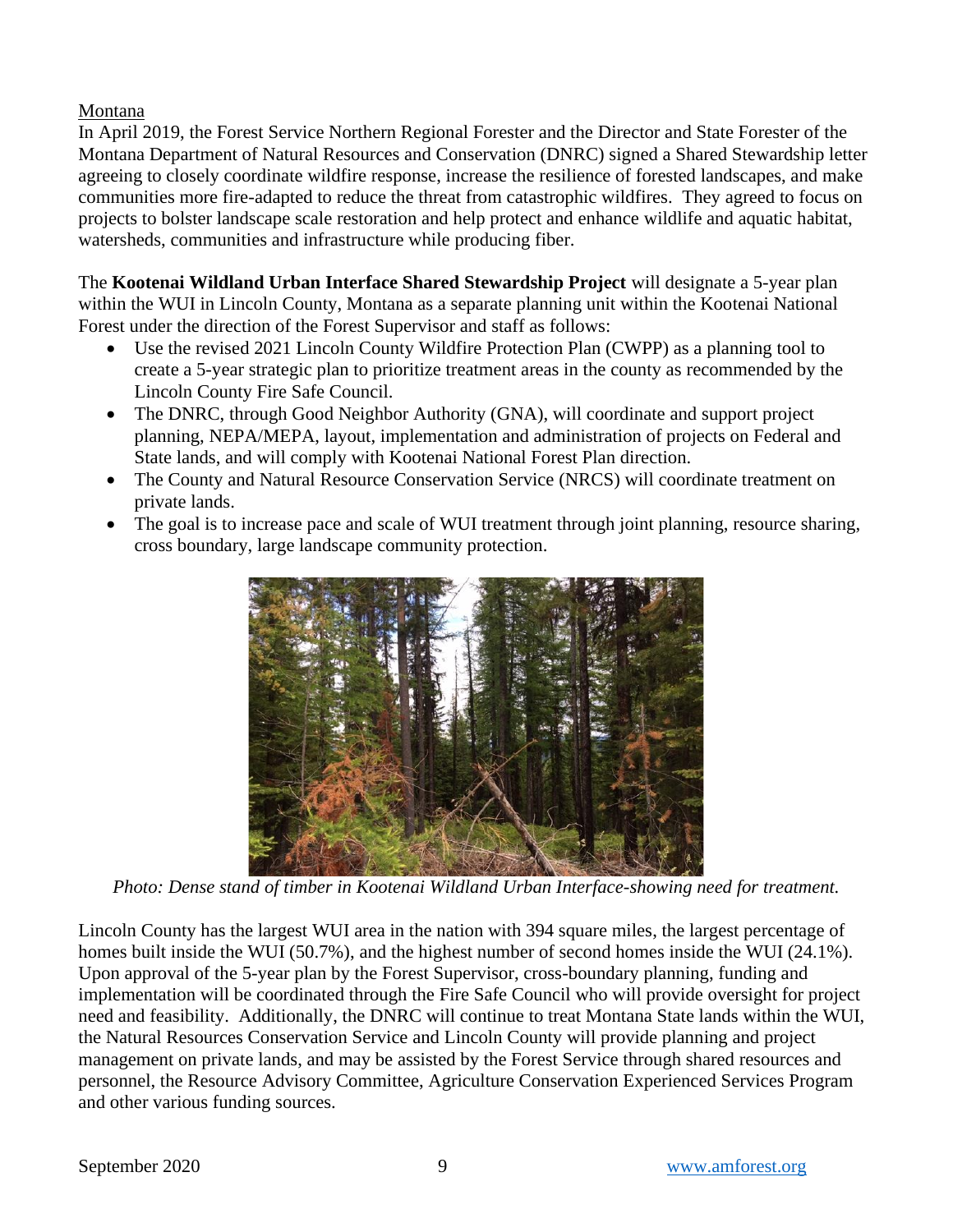Montana

In April 2019, the Forest Service Northern Regional Forester and the Director and State Forester of the Montana Department of Natural Resources and Conservation (DNRC) signed a Shared Stewardship letter agreeing to closely coordinate wildfire response, increase the resilience of forested landscapes, and make communities more fire-adapted to reduce the threat from catastrophic wildfires. They agreed to focus on projects to bolster landscape scale restoration and help protect and enhance wildlife and aquatic habitat, watersheds, communities and infrastructure while producing fiber.

The **Kootenai Wildland Urban Interface Shared Stewardship Project** will designate a 5-year plan within the WUI in Lincoln County, Montana as a separate planning unit within the Kootenai National Forest under the direction of the Forest Supervisor and staff as follows:

- Use the revised 2021 Lincoln County Wildfire Protection Plan (CWPP) as a planning tool to create a 5-year strategic plan to prioritize treatment areas in the county as recommended by the Lincoln County Fire Safe Council.
- The DNRC, through Good Neighbor Authority (GNA), will coordinate and support project planning, NEPA/MEPA, layout, implementation and administration of projects on Federal and State lands, and will comply with Kootenai National Forest Plan direction.
- The County and Natural Resource Conservation Service (NRCS) will coordinate treatment on private lands.
- The goal is to increase pace and scale of WUI treatment through joint planning, resource sharing, cross boundary, large landscape community protection.



*Photo: Dense stand of timber in Kootenai Wildland Urban Interface-showing need for treatment.*

Lincoln County has the largest WUI area in the nation with 394 square miles, the largest percentage of homes built inside the WUI (50.7%), and the highest number of second homes inside the WUI (24.1%). Upon approval of the 5-year plan by the Forest Supervisor, cross-boundary planning, funding and implementation will be coordinated through the Fire Safe Council who will provide oversight for project need and feasibility. Additionally, the DNRC will continue to treat Montana State lands within the WUI, the Natural Resources Conservation Service and Lincoln County will provide planning and project management on private lands, and may be assisted by the Forest Service through shared resources and personnel, the Resource Advisory Committee, Agriculture Conservation Experienced Services Program and other various funding sources.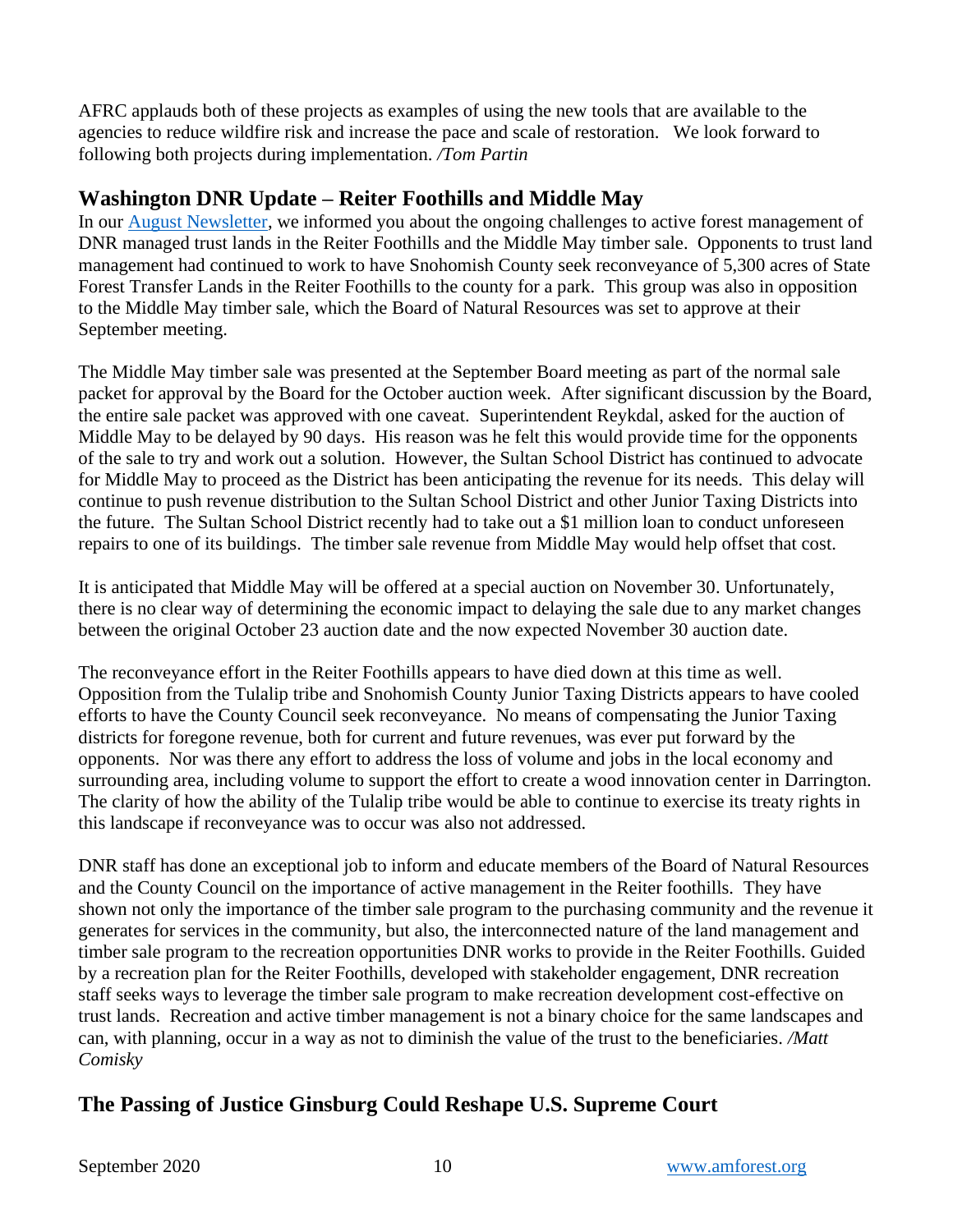AFRC applauds both of these projects as examples of using the new tools that are available to the agencies to reduce wildfire risk and increase the pace and scale of restoration. We look forward to following both projects during implementation. */Tom Partin* 

### **Washington DNR Update – Reiter Foothills and Middle May**

In our **August Newsletter**, we informed you about the ongoing challenges to active forest management of DNR managed trust lands in the Reiter Foothills and the Middle May timber sale. Opponents to trust land management had continued to work to have Snohomish County seek reconveyance of 5,300 acres of State Forest Transfer Lands in the Reiter Foothills to the county for a park. This group was also in opposition to the Middle May timber sale, which the Board of Natural Resources was set to approve at their September meeting.

The Middle May timber sale was presented at the September Board meeting as part of the normal sale packet for approval by the Board for the October auction week. After significant discussion by the Board, the entire sale packet was approved with one caveat. Superintendent Reykdal, asked for the auction of Middle May to be delayed by 90 days. His reason was he felt this would provide time for the opponents of the sale to try and work out a solution. However, the Sultan School District has continued to advocate for Middle May to proceed as the District has been anticipating the revenue for its needs. This delay will continue to push revenue distribution to the Sultan School District and other Junior Taxing Districts into the future. The Sultan School District recently had to take out a \$1 million loan to conduct unforeseen repairs to one of its buildings. The timber sale revenue from Middle May would help offset that cost.

It is anticipated that Middle May will be offered at a special auction on November 30. Unfortunately, there is no clear way of determining the economic impact to delaying the sale due to any market changes between the original October 23 auction date and the now expected November 30 auction date.

The reconveyance effort in the Reiter Foothills appears to have died down at this time as well. Opposition from the Tulalip tribe and Snohomish County Junior Taxing Districts appears to have cooled efforts to have the County Council seek reconveyance. No means of compensating the Junior Taxing districts for foregone revenue, both for current and future revenues, was ever put forward by the opponents. Nor was there any effort to address the loss of volume and jobs in the local economy and surrounding area, including volume to support the effort to create a wood innovation center in Darrington. The clarity of how the ability of the Tulalip tribe would be able to continue to exercise its treaty rights in this landscape if reconveyance was to occur was also not addressed.

DNR staff has done an exceptional job to inform and educate members of the Board of Natural Resources and the County Council on the importance of active management in the Reiter foothills. They have shown not only the importance of the timber sale program to the purchasing community and the revenue it generates for services in the community, but also, the interconnected nature of the land management and timber sale program to the recreation opportunities DNR works to provide in the Reiter Foothills. Guided by a recreation plan for the Reiter Foothills, developed with stakeholder engagement, DNR recreation staff seeks ways to leverage the timber sale program to make recreation development cost-effective on trust lands. Recreation and active timber management is not a binary choice for the same landscapes and can, with planning, occur in a way as not to diminish the value of the trust to the beneficiaries. */Matt Comisky*

# **The Passing of Justice Ginsburg Could Reshape U.S. Supreme Court**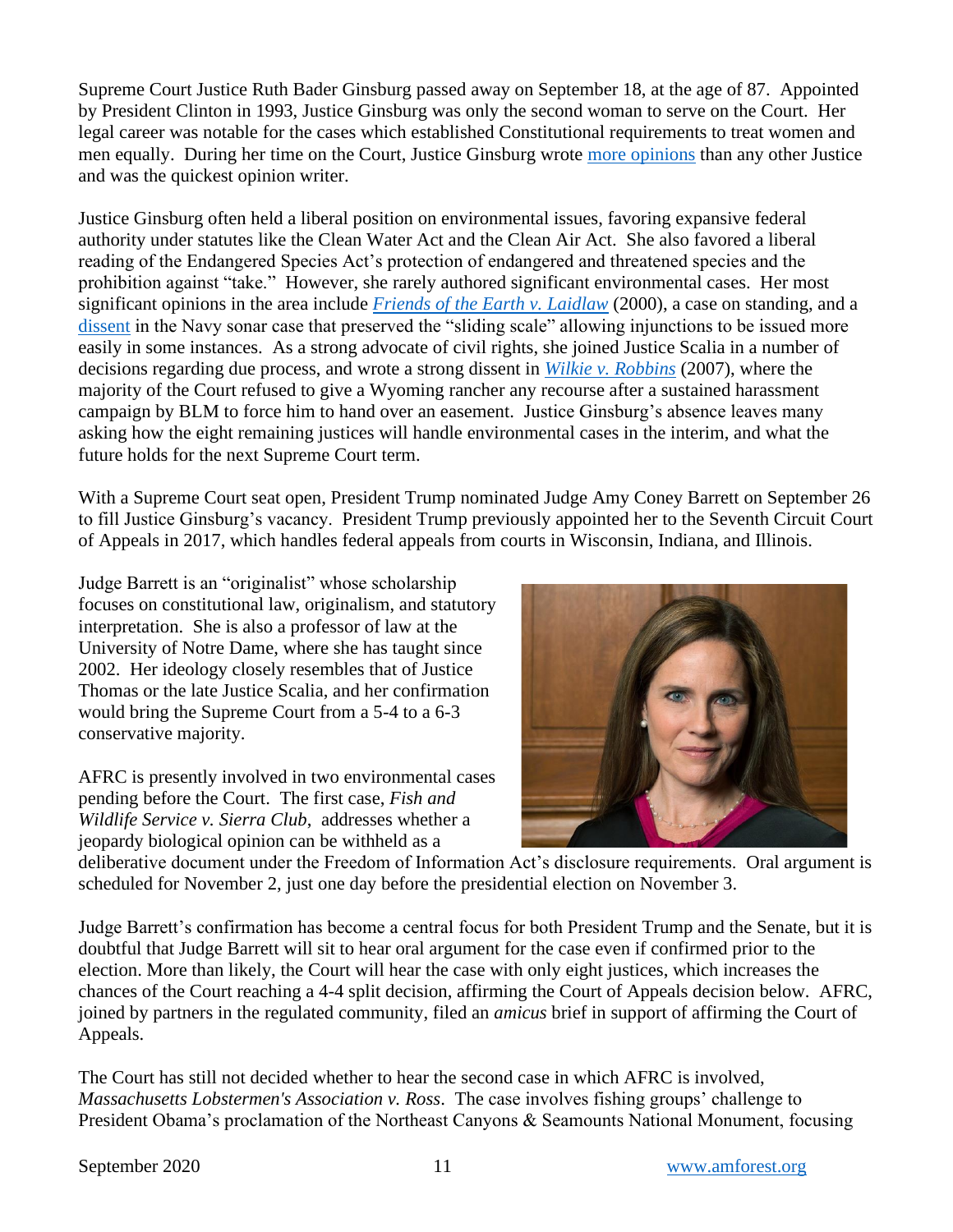Supreme Court Justice Ruth Bader Ginsburg passed away on September 18, at the age of 87. Appointed by President Clinton in 1993, Justice Ginsburg was only the second woman to serve on the Court. Her legal career was notable for the cases which established Constitutional requirements to treat women and men equally. During her time on the Court, Justice Ginsburg wrote [more opinions](https://www.scotusblog.com/2020/09/empirical-scotus-justice-ginsburg-leaves-a-lasting-legacy-on-the-court/) than any other Justice and was the quickest opinion writer.

Justice Ginsburg often held a liberal position on environmental issues, favoring expansive federal authority under statutes like the Clean Water Act and the Clean Air Act. She also favored a liberal reading of the Endangered Species Act's protection of endangered and threatened species and the prohibition against "take." However, she rarely authored significant environmental cases. Her most significant opinions in the area include *[Friends of the Earth v. Laidlaw](https://www.law.cornell.edu/supct/html/98-822.ZS.html)* (2000), a case on standing, and a [dissent](https://www.law.cornell.edu/supct/html/07-1239.ZD.html) in the Navy sonar case that preserved the "sliding scale" allowing injunctions to be issued more easily in some instances. As a strong advocate of civil rights, she joined Justice Scalia in a number of decisions regarding due process, and wrote a strong dissent in *[Wilkie v. Robbins](https://www.law.cornell.edu/supct/html/06-219.ZX.html)* (2007), where the majority of the Court refused to give a Wyoming rancher any recourse after a sustained harassment campaign by BLM to force him to hand over an easement. Justice Ginsburg's absence leaves many asking how the eight remaining justices will handle environmental cases in the interim, and what the future holds for the next Supreme Court term.

With a Supreme Court seat open, President Trump nominated Judge Amy Coney Barrett on September 26 to fill Justice Ginsburg's vacancy. President Trump previously appointed her to the Seventh Circuit Court of Appeals in 2017, which handles federal appeals from courts in Wisconsin, Indiana, and Illinois.

Judge Barrett is an "originalist" whose scholarship focuses on constitutional law, originalism, and statutory interpretation. She is also a professor of law at the University of Notre Dame, where she has taught since 2002. Her ideology closely resembles that of Justice Thomas or the late Justice Scalia, and her confirmation would bring the Supreme Court from a 5-4 to a 6-3 conservative majority.

AFRC is presently involved in two environmental cases pending before the Court. The first case, *Fish and Wildlife Service v. Sierra Club*, addresses whether a jeopardy biological opinion can be withheld as a



deliberative document under the Freedom of Information Act's disclosure requirements. Oral argument is scheduled for November 2, just one day before the presidential election on November 3.

Judge Barrett's confirmation has become a central focus for both President Trump and the Senate, but it is doubtful that Judge Barrett will sit to hear oral argument for the case even if confirmed prior to the election. More than likely, the Court will hear the case with only eight justices, which increases the chances of the Court reaching a 4-4 split decision, affirming the Court of Appeals decision below. AFRC, joined by partners in the regulated community, filed an *amicus* brief in support of affirming the Court of Appeals.

The Court has still not decided whether to hear the second case in which AFRC is involved, *Massachusetts Lobstermen's Association v. Ross*. The case involves fishing groups' challenge to President Obama's proclamation of the Northeast Canyons & Seamounts National Monument, focusing